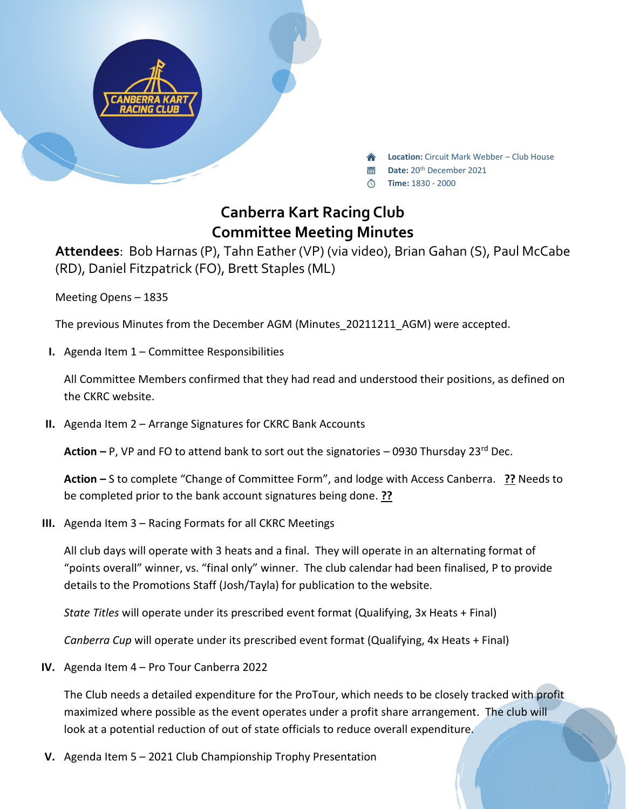

**Location:** Circuit Mark Webber – Club House

- **Date:** 20th December 2021 當
- **Time:** 1830 2000

## **Canberra Kart Racing Club Committee Meeting Minutes**

**Attendees**: Bob Harnas (P), Tahn Eather (VP) (via video), Brian Gahan (S), Paul McCabe (RD), Daniel Fitzpatrick (FO), Brett Staples (ML)

Meeting Opens – 1835

The previous Minutes from the December AGM (Minutes\_20211211\_AGM) were accepted.

**I.** Agenda Item 1 – Committee Responsibilities

All Committee Members confirmed that they had read and understood their positions, as defined on the CKRC website.

**II.** Agenda Item 2 – Arrange Signatures for CKRC Bank Accounts

**Action –** P, VP and FO to attend bank to sort out the signatories – 0930 Thursday 23rd Dec.

**Action –** S to complete "Change of Committee Form", and lodge with Access Canberra. **??** Needs to be completed prior to the bank account signatures being done. **??**

**III.** Agenda Item 3 – Racing Formats for all CKRC Meetings

All club days will operate with 3 heats and a final. They will operate in an alternating format of "points overall" winner, vs. "final only" winner. The club calendar had been finalised, P to provide details to the Promotions Staff (Josh/Tayla) for publication to the website.

*State Titles* will operate under its prescribed event format (Qualifying, 3x Heats + Final)

*Canberra Cup* will operate under its prescribed event format (Qualifying, 4x Heats + Final)

**IV.** Agenda Item 4 – Pro Tour Canberra 2022

The Club needs a detailed expenditure for the ProTour, which needs to be closely tracked with profit maximized where possible as the event operates under a profit share arrangement. The club will look at a potential reduction of out of state officials to reduce overall expenditure.

**V.** Agenda Item 5 – 2021 Club Championship Trophy Presentation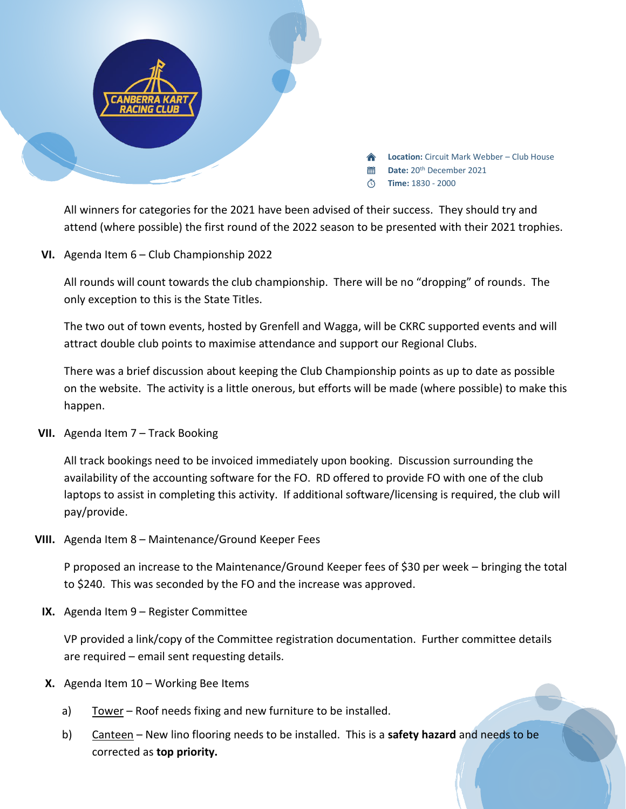

All winners for categories for the 2021 have been advised of their success. They should try and attend (where possible) the first round of the 2022 season to be presented with their 2021 trophies.

**VI.** Agenda Item 6 – Club Championship 2022

All rounds will count towards the club championship. There will be no "dropping" of rounds. The only exception to this is the State Titles.

The two out of town events, hosted by Grenfell and Wagga, will be CKRC supported events and will attract double club points to maximise attendance and support our Regional Clubs.

There was a brief discussion about keeping the Club Championship points as up to date as possible on the website. The activity is a little onerous, but efforts will be made (where possible) to make this happen.

**VII.** Agenda Item 7 – Track Booking

All track bookings need to be invoiced immediately upon booking. Discussion surrounding the availability of the accounting software for the FO. RD offered to provide FO with one of the club laptops to assist in completing this activity. If additional software/licensing is required, the club will pay/provide.

**VIII.** Agenda Item 8 – Maintenance/Ground Keeper Fees

P proposed an increase to the Maintenance/Ground Keeper fees of \$30 per week – bringing the total to \$240. This was seconded by the FO and the increase was approved.

**IX.** Agenda Item 9 – Register Committee

VP provided a link/copy of the Committee registration documentation. Further committee details are required – email sent requesting details.

- **X.** Agenda Item 10 Working Bee Items
	- a) Tower Roof needs fixing and new furniture to be installed.
	- b) Canteen New lino flooring needs to be installed. This is a **safety hazard** and needs to be corrected as **top priority.**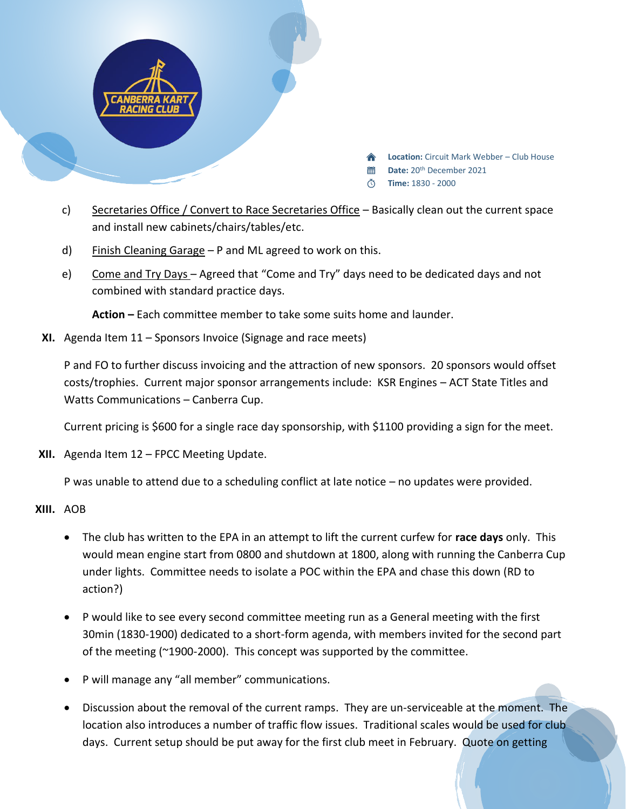

- c) Secretaries Office / Convert to Race Secretaries Office Basically clean out the current space and install new cabinets/chairs/tables/etc.
- d) Finish Cleaning Garage  $P$  and ML agreed to work on this.
- e) Come and Try Days Agreed that "Come and Try" days need to be dedicated days and not combined with standard practice days.

**Action –** Each committee member to take some suits home and launder.

**XI.** Agenda Item 11 – Sponsors Invoice (Signage and race meets)

P and FO to further discuss invoicing and the attraction of new sponsors. 20 sponsors would offset costs/trophies. Current major sponsor arrangements include: KSR Engines – ACT State Titles and Watts Communications – Canberra Cup.

Current pricing is \$600 for a single race day sponsorship, with \$1100 providing a sign for the meet.

**XII.** Agenda Item 12 – FPCC Meeting Update.

P was unable to attend due to a scheduling conflict at late notice – no updates were provided.

## **XIII.** AOB

- The club has written to the EPA in an attempt to lift the current curfew for **race days** only. This would mean engine start from 0800 and shutdown at 1800, along with running the Canberra Cup under lights. Committee needs to isolate a POC within the EPA and chase this down (RD to action?)
- P would like to see every second committee meeting run as a General meeting with the first 30min (1830-1900) dedicated to a short-form agenda, with members invited for the second part of the meeting (~1900-2000). This concept was supported by the committee.
- P will manage any "all member" communications.
- Discussion about the removal of the current ramps. They are un-serviceable at the moment. The location also introduces a number of traffic flow issues. Traditional scales would be used for club days. Current setup should be put away for the first club meet in February. Quote on getting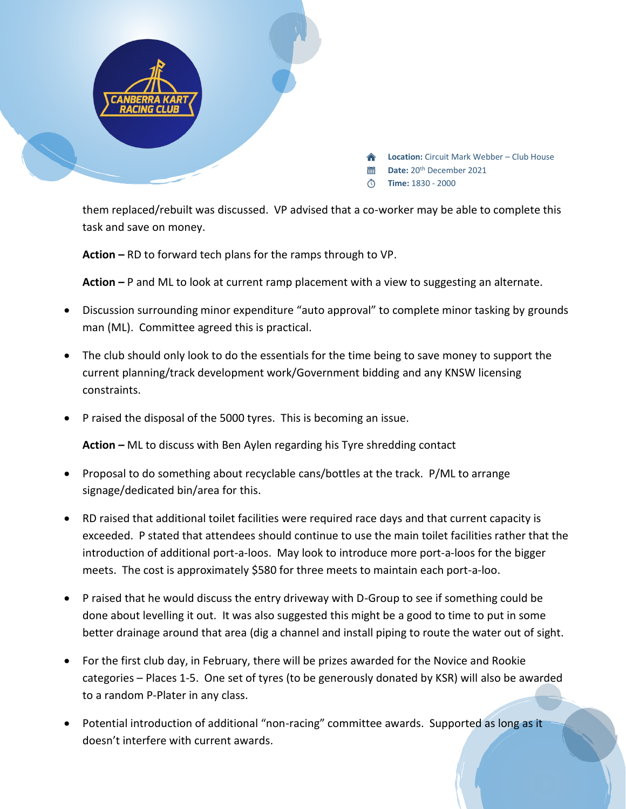

them replaced/rebuilt was discussed. VP advised that a co-worker may be able to complete this task and save on money.

**Action –** RD to forward tech plans for the ramps through to VP.

**Action –** P and ML to look at current ramp placement with a view to suggesting an alternate.

- Discussion surrounding minor expenditure "auto approval" to complete minor tasking by grounds man (ML). Committee agreed this is practical.
- The club should only look to do the essentials for the time being to save money to support the current planning/track development work/Government bidding and any KNSW licensing constraints.
- P raised the disposal of the 5000 tyres. This is becoming an issue.

**Action –** ML to discuss with Ben Aylen regarding his Tyre shredding contact

- Proposal to do something about recyclable cans/bottles at the track. P/ML to arrange signage/dedicated bin/area for this.
- RD raised that additional toilet facilities were required race days and that current capacity is exceeded. P stated that attendees should continue to use the main toilet facilities rather that the introduction of additional port-a-loos. May look to introduce more port-a-loos for the bigger meets. The cost is approximately \$580 for three meets to maintain each port-a-loo.
- P raised that he would discuss the entry driveway with D-Group to see if something could be done about levelling it out. It was also suggested this might be a good to time to put in some better drainage around that area (dig a channel and install piping to route the water out of sight.
- For the first club day, in February, there will be prizes awarded for the Novice and Rookie categories – Places 1-5. One set of tyres (to be generously donated by KSR) will also be awarded to a random P-Plater in any class.
- Potential introduction of additional "non-racing" committee awards. Supported as long as it doesn't interfere with current awards.